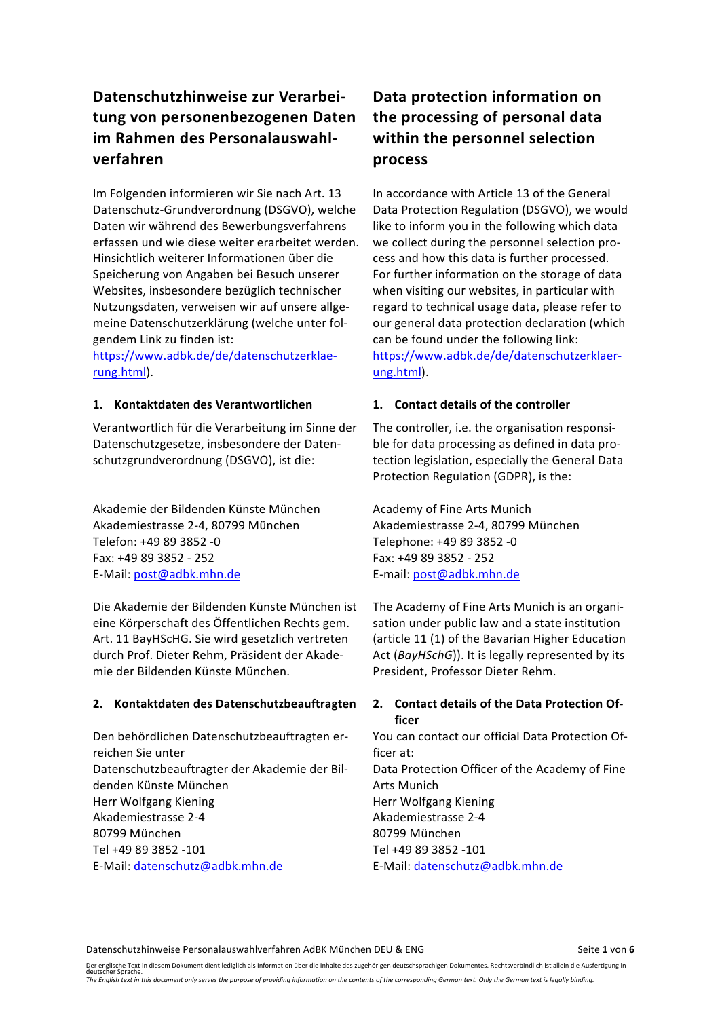# **Datenschutzhinweise zur Verarbei**tung von personenbezogenen Daten im Rahmen des Personalauswahl**verfahren**

Im Folgenden informieren wir Sie nach Art. 13 Datenschutz-Grundverordnung (DSGVO), welche Daten wir während des Bewerbungsverfahrens erfassen und wie diese weiter erarbeitet werden. Hinsichtlich weiterer Informationen über die Speicherung von Angaben bei Besuch unserer Websites, insbesondere bezüglich technischer Nutzungsdaten, verweisen wir auf unsere allgemeine Datenschutzerklärung (welche unter folgendem Link zu finden ist:

https://www.adbk.de/de/datenschutzerklaerung.html).

### **1. Kontaktdaten des Verantwortlichen 1. Contact details of the controller**

Verantwortlich für die Verarbeitung im Sinne der Datenschutzgesetze, insbesondere der Datenschutzgrundverordnung (DSGVO), ist die:

Akademie der Bildenden Künste München aus Academy of Fine Arts Munich Akademiestrasse 2-4, 80799 München and Akademiestrasse 2-4, 80799 München Telefon: +49 89 3852 -0 Telephone: +49 89 3852 -0 Fax: +49 89 3852 - 252 Fax: +49 89 3852 - 252 E-Mail: post@adbk.mhn.de E-mail: post@adbk.mhn.de

Die Akademie der Bildenden Künste München ist eine Körperschaft des Öffentlichen Rechts gem. Art. 11 BayHScHG. Sie wird gesetzlich vertreten durch Prof. Dieter Rehm, Präsident der Akademie der Bildenden Künste München.

### 2. Kontaktdaten des Datenschutzbeauftragten 2. Contact details of the Data Protection Of-

Den behördlichen Datenschutzbeauftragten erreichen Sie unter Datenschutzbeauftragter der Akademie der Bildenden Künste München Herr Wolfgang Kiening **Example 20 Figure 10** Herr Wolfgang Kiening Akademiestrasse 2-4 and a Reademiestrasse 2-4 and Akademiestrasse 2-4 80799 München 80799 München Tel +49 89 3852 -101 Tel +49 89 3852 -101 E-Mail: datenschutz@adbk.mhn.de ender E-Mail: datenschutz@adbk.mhn.de

# **Data protection information on the processing of personal data within the personnel selection process**

In accordance with Article 13 of the General Data Protection Regulation (DSGVO), we would like to inform you in the following which data we collect during the personnel selection process and how this data is further processed. For further information on the storage of data when visiting our websites, in particular with regard to technical usage data, please refer to our general data protection declaration (which can be found under the following link: https://www.adbk.de/de/datenschutzerklaerung.html).

The controller, i.e. the organisation responsible for data processing as defined in data protection legislation, especially the General Data Protection Regulation (GDPR), is the:

The Academy of Fine Arts Munich is an organisation under public law and a state institution (article 11 (1) of the Bavarian Higher Education Act (BayHSchG)). It is legally represented by its President, Professor Dieter Rehm.

# **ficer**

You can contact our official Data Protection Officer at: Data Protection Officer of the Academy of Fine **Arts Munich** 

Datenschutzhinweise Personalauswahlverfahren AdBK München DEU & ENG Seite 1 von 6

Der englische Text in diesem Dokument dient lediglich als Information über die Inhalte des zugehörigen deutschsprachigen Dokumentes. Rechtsverbindlich ist allein die Ausfertigung in<br>deutscher Sprache a saas with extrimation only serves the purpose of providing information on the contents of the corresponding German text. Only the German text is legally binding.<br>The English text in this document only serves the purpose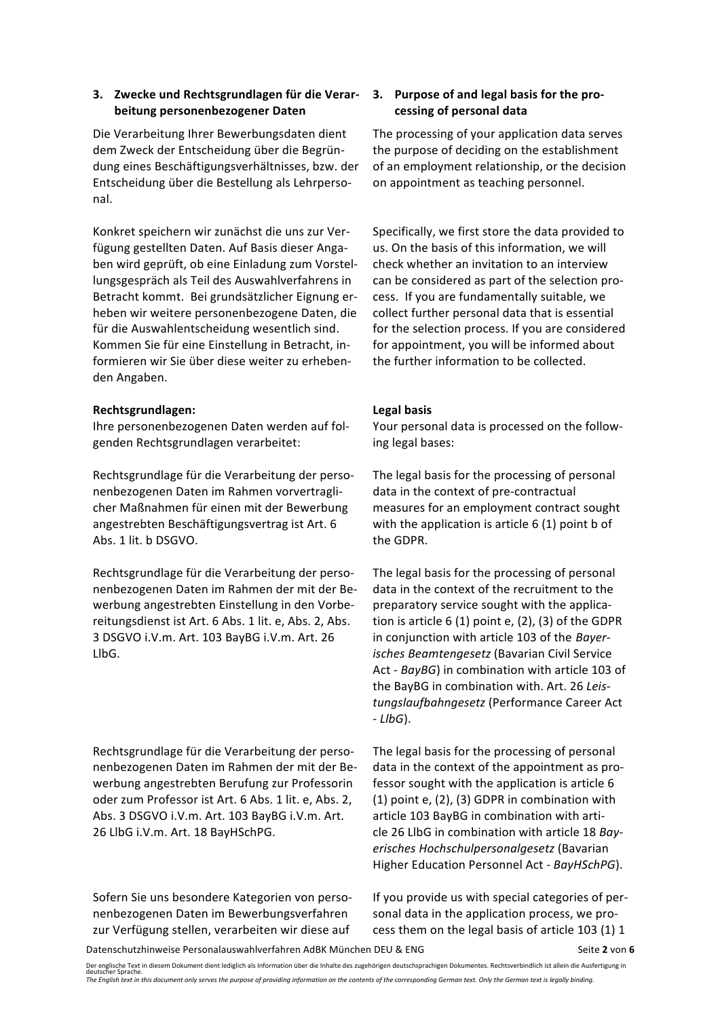### **3.** Zwecke und Rechtsgrundlagen für die Verar**beitung personenbezogener Daten**

Die Verarbeitung Ihrer Bewerbungsdaten dient dem Zweck der Entscheidung über die Begründung eines Beschäftigungsverhältnisses, bzw. der Entscheidung über die Bestellung als Lehrpersonal.

Konkret speichern wir zunächst die uns zur Verfügung gestellten Daten. Auf Basis dieser Angaben wird geprüft, ob eine Einladung zum Vorstellungsgespräch als Teil des Auswahlverfahrens in Betracht kommt. Bei grundsätzlicher Eignung erheben wir weitere personenbezogene Daten, die für die Auswahlentscheidung wesentlich sind. Kommen Sie für eine Einstellung in Betracht, informieren wir Sie über diese weiter zu erhebenden Angaben.

### **Rechtsgrundlagen: Legal basis**

Ihre personenbezogenen Daten werden auf folgenden Rechtsgrundlagen verarbeitet: 

Rechtsgrundlage für die Verarbeitung der personenbezogenen Daten im Rahmen vorvertraglicher Maßnahmen für einen mit der Bewerbung angestrebten Beschäftigungsvertrag ist Art. 6 Abs. 1 lit. b DSGVO.

Rechtsgrundlage für die Verarbeitung der personenbezogenen Daten im Rahmen der mit der Bewerbung angestrebten Einstellung in den Vorbereitungsdienst ist Art. 6 Abs. 1 lit. e, Abs. 2, Abs. 3 DSGVO i.V.m. Art. 103 BayBG i.V.m. Art. 26 LlbG.

Rechtsgrundlage für die Verarbeitung der personenbezogenen Daten im Rahmen der mit der Bewerbung angestrebten Berufung zur Professorin oder zum Professor ist Art. 6 Abs. 1 lit. e, Abs. 2, Abs. 3 DSGVO i.V.m. Art. 103 BayBG i.V.m. Art. 26 LlbG i.V.m. Art. 18 BayHSchPG.

Sofern Sie uns besondere Kategorien von personenbezogenen Daten im Bewerbungsverfahren zur Verfügung stellen, verarbeiten wir diese auf

### **3.** Purpose of and legal basis for the pro**cessing of personal data**

The processing of your application data serves the purpose of deciding on the establishment of an employment relationship, or the decision on appointment as teaching personnel.

Specifically, we first store the data provided to us. On the basis of this information, we will check whether an invitation to an interview can be considered as part of the selection process. If you are fundamentally suitable, we collect further personal data that is essential for the selection process. If you are considered for appointment, you will be informed about the further information to be collected.

Your personal data is processed on the following legal bases:

The legal basis for the processing of personal data in the context of pre-contractual measures for an employment contract sought with the application is article  $6(1)$  point b of the GDPR.

The legal basis for the processing of personal data in the context of the recruitment to the preparatory service sought with the application is article 6 (1) point e,  $(2)$ ,  $(3)$  of the GDPR in conjunction with article 103 of the *Bayerisches Beamtengesetz* (Bavarian Civil Service Act - BayBG) in combination with article 103 of the BayBG in combination with. Art. 26 Leis*tungslaufbahngesetz* (Performance Career Act - *LlbG*).

The legal basis for the processing of personal data in the context of the appointment as professor sought with the application is article 6  $(1)$  point e,  $(2)$ ,  $(3)$  GDPR in combination with article 103 BayBG in combination with article 26 LlbG in combination with article 18 Bay*erisches Hochschulpersonalgesetz* (Bavarian Higher Education Personnel Act - BayHSchPG).

If you provide us with special categories of personal data in the application process, we process them on the legal basis of article 103 (1) 1

Datenschutzhinweise Personalauswahlverfahren AdBK München DEU & ENG Seite 2 von 6

Der englische Text in diesem Dokument dient lediglich als Information über die Inhalte des zugehörigen deutschsprachigen Dokumentes. Rechtsverbindlich ist allein die Ausfertigung in<br>deutscher Sprache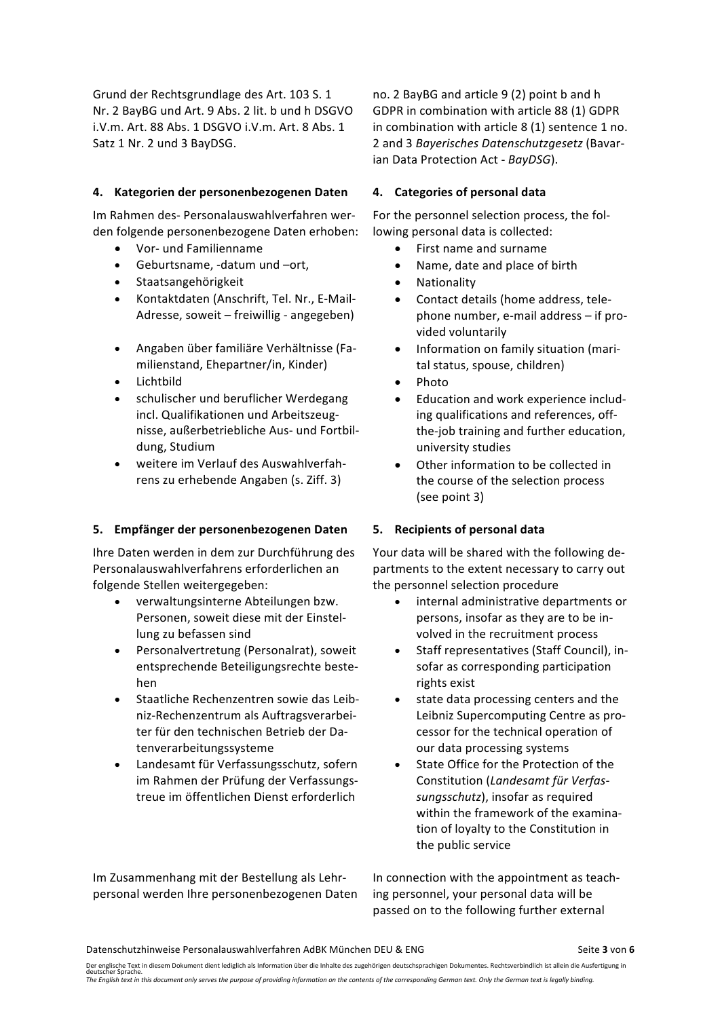Grund der Rechtsgrundlage des Art. 103 S. 1 Nr. 2 BayBG und Art. 9 Abs. 2 lit. b und h DSGVO i.V.m. Art. 88 Abs. 1 DSGVO i.V.m. Art. 8 Abs. 1 Satz 1 Nr. 2 und 3 BayDSG.

### **4. Kategorien der personenbezogenen Daten 4. Categories of personal data**

Im Rahmen des- Personalauswahlverfahren werden folgende personenbezogene Daten erhoben:

- 
- Geburtsname, -datum und -ort, Name, date and place of birth
- Staatsangehörigkeit Nationality
- Kontaktdaten (Anschrift, Tel. Nr., E-Mail-Adresse, soweit  $-$  freiwillig - angegeben)
- Angaben über familiäre Verhältnisse (Familienstand, Ehepartner/in, Kinder)
- Lichtbild Photo
- schulischer und beruflicher Werdegang incl. Qualifikationen und Arbeitszeugnisse, außerbetriebliche Aus- und Fortbildung, Studium
- weitere im Verlauf des Auswahlverfahrens zu erhebende Angaben (s. Ziff. 3)

### **5. Empfänger der personenbezogenen Daten 5. Recipients of personal data**

Ihre Daten werden in dem zur Durchführung des Personalauswahlverfahrens erforderlichen an folgende Stellen weitergegeben:

- verwaltungsinterne Abteilungen bzw. Personen, soweit diese mit der Finstellung zu befassen sind
- Personalvertretung (Personalrat), soweit entsprechende Beteiligungsrechte bestehen
- Staatliche Rechenzentren sowie das Leibniz-Rechenzentrum als Auftragsverarbeiter für den technischen Betrieb der Datenverarbeitungssysteme
- Landesamt für Verfassungsschutz, sofern im Rahmen der Prüfung der Verfassungstreue im öffentlichen Dienst erforderlich

no. 2 BayBG and article 9 (2) point b and h GDPR in combination with article 88 (1) GDPR in combination with article  $8(1)$  sentence  $1$  no. 2 and 3 *Bayerisches Datenschutzgesetz* (Bavarian Data Protection Act - BayDSG).

For the personnel selection process, the following personal data is collected:

- Vor- und Familienname **•** First name and surname
	-
	-
	- Contact details (home address, telephone number, e-mail address  $-$  if provided voluntarily
	- Information on family situation (marital status, spouse, children)
	-
	- Education and work experience including qualifications and references, offthe-job training and further education, university studies
	- Other information to be collected in the course of the selection process (see point 3)

Your data will be shared with the following departments to the extent necessary to carry out the personnel selection procedure

- internal administrative departments or persons, insofar as they are to be involved in the recruitment process
- Staff representatives (Staff Council), insofar as corresponding participation rights exist
- state data processing centers and the Leibniz Supercomputing Centre as processor for the technical operation of our data processing systems
- State Office for the Protection of the Constitution (*Landesamt für Verfas*sungsschutz), insofar as required within the framework of the examination of loyalty to the Constitution in the public service

Im Zusammenhang mit der Bestellung als Lehrpersonal werden Ihre personenbezogenen Daten In connection with the appointment as teaching personnel, your personal data will be passed on to the following further external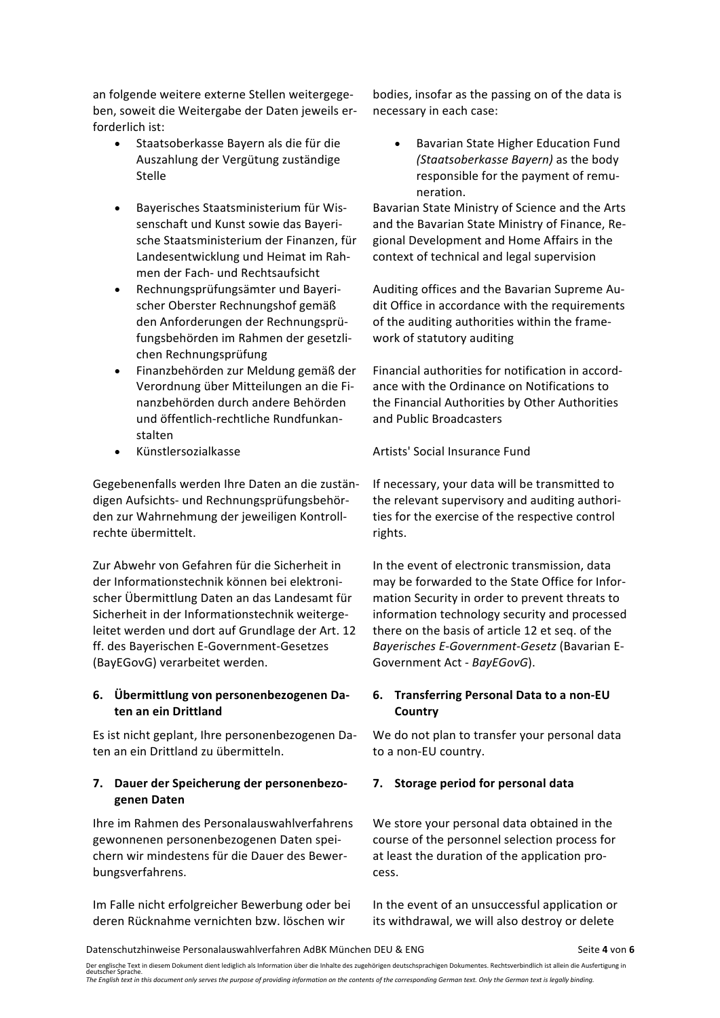an folgende weitere externe Stellen weitergegeben, soweit die Weitergabe der Daten jeweils erforderlich ist:

- Staatsoberkasse Bayern als die für die Auszahlung der Vergütung zuständige Stelle
- Bayerisches Staatsministerium für Wissenschaft und Kunst sowie das Bayerische Staatsministerium der Finanzen, für Landesentwicklung und Heimat im Rahmen der Fach- und Rechtsaufsicht
- Rechnungsprüfungsämter und Bayerischer Oberster Rechnungshof gemäß den Anforderungen der Rechnungsprüfungsbehörden im Rahmen der gesetzlichen Rechnungsprüfung
- Finanzbehörden zur Meldung gemäß der Verordnung über Mitteilungen an die Finanzbehörden durch andere Behörden und öffentlich-rechtliche Rundfunkanstalten
- 

Gegebenenfalls werden Ihre Daten an die zuständigen Aufsichts- und Rechnungsprüfungsbehörden zur Wahrnehmung der jeweiligen Kontrollrechte übermittelt.

Zur Abwehr von Gefahren für die Sicherheit in der Informationstechnik können bei elektronischer Übermittlung Daten an das Landesamt für Sicherheit in der Informationstechnik weitergeleitet werden und dort auf Grundlage der Art. 12 ff. des Bayerischen E-Government-Gesetzes (BayEGovG) verarbeitet werden.

### 6. Übermittlung von personenbezogenen Da**ten an ein Drittland**

Es ist nicht geplant, Ihre personenbezogenen Daten an ein Drittland zu übermitteln. 

### **7.** Dauer der Speicherung der personenbezo**genen Daten**

Ihre im Rahmen des Personalauswahlverfahrens gewonnenen personenbezogenen Daten speichern wir mindestens für die Dauer des Bewerbungsverfahrens.

Im Falle nicht erfolgreicher Bewerbung oder bei deren Rücknahme vernichten bzw. löschen wir 

bodies, insofar as the passing on of the data is necessary in each case:

• Bavarian State Higher Education Fund *(Staatsoberkasse Bayern)* as the body responsible for the payment of remuneration.

Bavarian State Ministry of Science and the Arts and the Bavarian State Ministry of Finance, Regional Development and Home Affairs in the context of technical and legal supervision

Auditing offices and the Bavarian Supreme Audit Office in accordance with the requirements of the auditing authorities within the framework of statutory auditing

Financial authorities for notification in accordance with the Ordinance on Notifications to the Financial Authorities by Other Authorities and Public Broadcasters

### • Künstlersozialkasse Artists' Social Insurance Fund

If necessary, your data will be transmitted to the relevant supervisory and auditing authorities for the exercise of the respective control rights.

In the event of electronic transmission, data may be forwarded to the State Office for Information Security in order to prevent threats to information technology security and processed there on the basis of article 12 et seq. of the *Bayerisches E-Government-Gesetz* (Bavarian E-Government Act - BayEGovG).

### **6. Transferring Personal Data to a non-EU Country**

We do not plan to transfer your personal data to a non-EU country.

### **7.** Storage period for personal data

We store your personal data obtained in the course of the personnel selection process for at least the duration of the application process.

In the event of an unsuccessful application or its withdrawal, we will also destroy or delete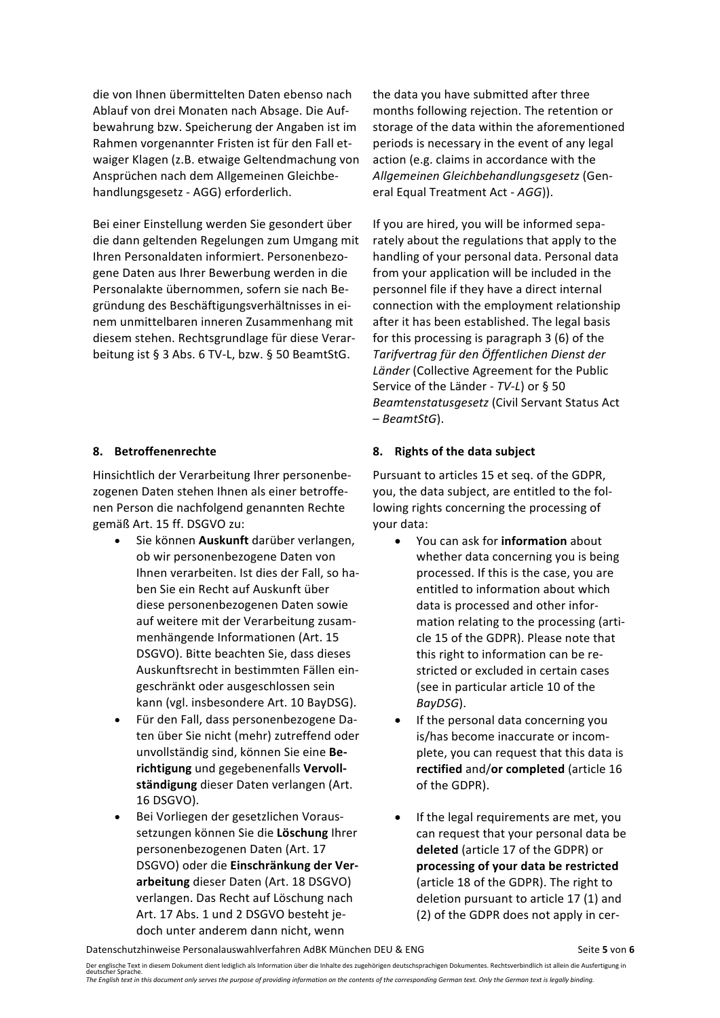die von Ihnen übermittelten Daten ebenso nach Ablauf von drei Monaten nach Absage. Die Aufbewahrung bzw. Speicherung der Angaben ist im Rahmen vorgenannter Fristen ist für den Fall etwaiger Klagen (z.B. etwaige Geltendmachung von Ansprüchen nach dem Allgemeinen Gleichbehandlungsgesetz - AGG) erforderlich.

Bei einer Einstellung werden Sie gesondert über die dann geltenden Regelungen zum Umgang mit Ihren Personaldaten informiert. Personenbezogene Daten aus Ihrer Bewerbung werden in die Personalakte übernommen, sofern sie nach Begründung des Beschäftigungsverhältnisses in einem unmittelbaren inneren Zusammenhang mit diesem stehen. Rechtsgrundlage für diese Verarbeitung ist § 3 Abs. 6 TV-L, bzw. § 50 BeamtStG.

Hinsichtlich der Verarbeitung Ihrer personenbezogenen Daten stehen Ihnen als einer betroffenen Person die nachfolgend genannten Rechte gemäß Art. 15 ff. DSGVO zu:

- Sie können Auskunft darüber verlangen, ob wir personenbezogene Daten von Ihnen verarbeiten. Ist dies der Fall, so haben Sie ein Recht auf Auskunft über diese personenbezogenen Daten sowie auf weitere mit der Verarbeitung zusammenhängende Informationen (Art. 15 DSGVO). Bitte beachten Sie, dass dieses Auskunftsrecht in bestimmten Fällen eingeschränkt oder ausgeschlossen sein kann (vgl. insbesondere Art. 10 BayDSG).
- Für den Fall, dass personenbezogene Daten über Sie nicht (mehr) zutreffend oder unvollständig sind, können Sie eine **Berichtigung** und gegebenenfalls **Vervoll**ständigung dieser Daten verlangen (Art. 16 DSGVO).
- Bei Vorliegen der gesetzlichen Voraussetzungen können Sie die **Löschung** Ihrer personenbezogenen Daten (Art. 17 DSGVO) oder die Einschränkung der Ver**arbeitung** dieser Daten (Art. 18 DSGVO) verlangen. Das Recht auf Löschung nach Art. 17 Abs. 1 und 2 DSGVO besteht jedoch unter anderem dann nicht, wenn

the data you have submitted after three months following rejection. The retention or storage of the data within the aforementioned periods is necessary in the event of any legal action (e.g. claims in accordance with the *Allgemeinen Gleichbehandlungsgesetz* (General Equal Treatment Act - AGG)).

If you are hired, you will be informed separately about the regulations that apply to the handling of your personal data. Personal data from your application will be included in the personnel file if they have a direct internal connection with the employment relationship after it has been established. The legal basis for this processing is paragraph  $3$  (6) of the *Tarifvertrag für den Öffentlichen Dienst der*  Länder (Collective Agreement for the Public Service of the Länder - *TV-L*) or § 50 **Beamtenstatusgesetz** (Civil Servant Status Act – *BeamtStG*).

### **8.** Betroffenenrechte **8.** Rights of the data subject

Pursuant to articles 15 et seq. of the GDPR, you, the data subject, are entitled to the following rights concerning the processing of your data:

- You can ask for **information** about whether data concerning you is being processed. If this is the case, you are entitled to information about which data is processed and other information relating to the processing (article 15 of the GDPR). Please note that this right to information can be restricted or excluded in certain cases (see in particular article 10 of the *BayDSG*).
- If the personal data concerning you is/has become inaccurate or incomplete, you can request that this data is **rectified** and/or completed (article 16 of the GDPR).
- If the legal requirements are met, you can request that your personal data be deleted (article 17 of the GDPR) or processing of your data be restricted (article 18 of the GDPR). The right to deletion pursuant to article 17 (1) and (2) of the GDPR does not apply in cer-

Datenschutzhinweise Personalauswahlverfahren AdBK München DEU & ENG Seite Seite 5 von 6